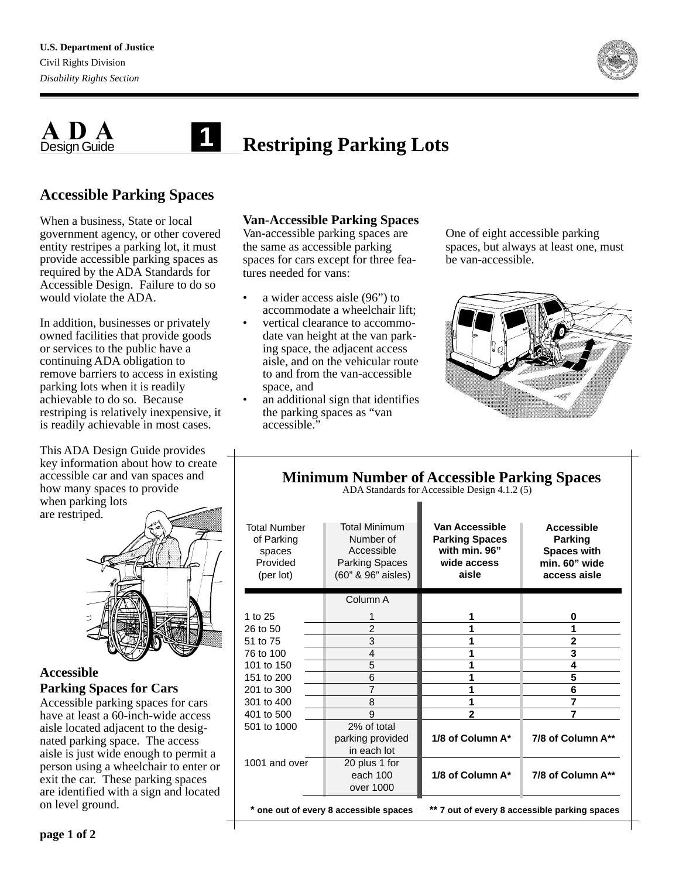

#### **ADA** Design Guide **Restriping Parking Lots 1**

## **Accessible Parking Spaces**

When a business, State or local government agency, or other covered entity restripes a parking lot, it must provide accessible parking spaces as required by the ADA Standards for Accessible Design. Failure to do so would violate the ADA.

In addition, businesses or privately owned facilities that provide goods or services to the public have a continuing ADA obligation to remove barriers to access in existing parking lots when it is readily achievable to do so. Because restriping is relatively inexpensive, it is readily achievable in most cases.

This ADA Design Guide provides key information about how to create accessible car and van spaces and how many spaces to provide when parking lots are restriped.



## **Accessible Parking Spaces for Cars**

Accessible parking spaces for cars have at least a 60-inch-wide access aisle located adjacent to the designated parking space. The access aisle is just wide enough to permit a person using a wheelchair to enter or exit the car. These parking spaces are identified with a sign and located on level ground.

## **Van-Accessible Parking Spaces**

Van-accessible parking spaces are the same as accessible parking spaces for cars except for three features needed for vans:

- a wider access aisle (96") to accommodate a wheelchair lift;
- vertical clearance to accommodate van height at the van parking space, the adjacent access aisle, and on the vehicular route to and from the van-accessible space, and
- an additional sign that identifies the parking spaces as "van accessible."

One of eight accessible parking spaces, but always at least one, must be van-accessible.



#### **Minimum Number of Accessible Parking Spaces** ADA Standards for Accessible Design 4.1.2 (5)

| <b>Total Number</b><br>of Parking<br>spaces<br>Provided<br>(per lot) | <b>Total Minimum</b><br>Number of<br>Accessible<br><b>Parking Spaces</b><br>(60" & 96" aisles) | Van Accessible<br><b>Parking Spaces</b><br>with min. 96"<br>wide access<br>aisle | Accessible<br>Parking<br><b>Spaces with</b><br>min. 60" wide<br>access aisle |
|----------------------------------------------------------------------|------------------------------------------------------------------------------------------------|----------------------------------------------------------------------------------|------------------------------------------------------------------------------|
|                                                                      | Column A                                                                                       |                                                                                  |                                                                              |
| 1 to $25$                                                            |                                                                                                | 1                                                                                | 0                                                                            |
| 26 to 50                                                             | $\overline{2}$                                                                                 | 1                                                                                | 1                                                                            |
| 51 to 75                                                             | 3                                                                                              | 1                                                                                | $\overline{2}$                                                               |
| 76 to 100                                                            | 4                                                                                              | 1                                                                                | 3                                                                            |
| 101 to 150                                                           | 5                                                                                              | 1                                                                                | 4                                                                            |
| 151 to 200                                                           | 6                                                                                              |                                                                                  | 5                                                                            |
| 201 to 300                                                           | 7                                                                                              |                                                                                  | 6                                                                            |
| 301 to 400                                                           | 8                                                                                              | 1                                                                                | 7                                                                            |
| 401 to 500                                                           | 9                                                                                              | $\overline{2}$                                                                   | 7                                                                            |
| 501 to 1000                                                          | 2% of total<br>parking provided<br>in each lot                                                 | 1/8 of Column A*                                                                 | 7/8 of Column A**                                                            |
| 1001 and over                                                        | 20 plus 1 for<br>each 100<br>over 1000                                                         | 1/8 of Column A*                                                                 | 7/8 of Column A**                                                            |
| * one out of every 8 accessible spaces                               |                                                                                                | ** 7 out of every 8 accessible parking spaces                                    |                                                                              |